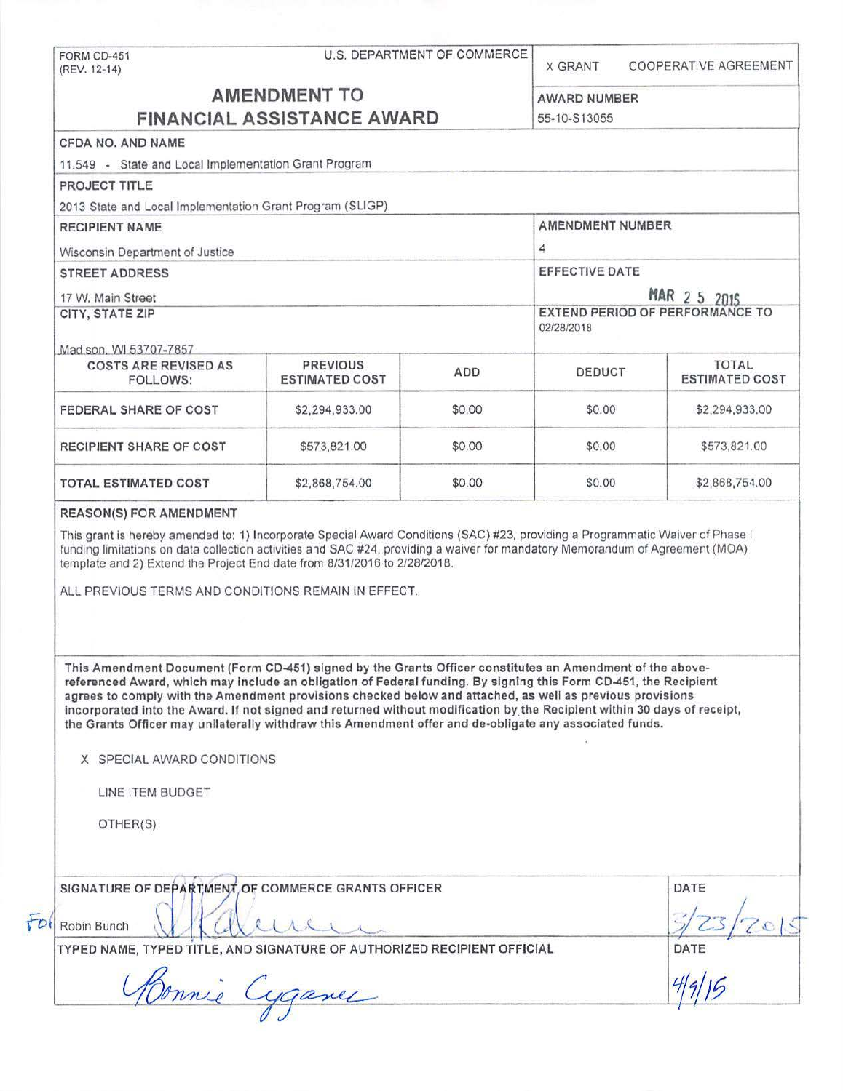| (REV. 12-14)                                                  |                                                                                                                                                                                                                                                                                                                                                                                                                                                                                                                                                                                   | U.S. DEPARTMENT OF COMMERCE | <b>X GRANT</b>                                | COOPERATIVE AGREEMENT |  |
|---------------------------------------------------------------|-----------------------------------------------------------------------------------------------------------------------------------------------------------------------------------------------------------------------------------------------------------------------------------------------------------------------------------------------------------------------------------------------------------------------------------------------------------------------------------------------------------------------------------------------------------------------------------|-----------------------------|-----------------------------------------------|-----------------------|--|
| <b>AMENDMENT TO</b><br><b>FINANCIAL ASSISTANCE AWARD</b>      |                                                                                                                                                                                                                                                                                                                                                                                                                                                                                                                                                                                   |                             |                                               |                       |  |
|                                                               |                                                                                                                                                                                                                                                                                                                                                                                                                                                                                                                                                                                   |                             | AWARD NUMBER<br>55-10-S13055                  |                       |  |
| CFDA NO, AND NAME                                             |                                                                                                                                                                                                                                                                                                                                                                                                                                                                                                                                                                                   |                             |                                               |                       |  |
| 11,549 - State and Local Implementation Grant Program         |                                                                                                                                                                                                                                                                                                                                                                                                                                                                                                                                                                                   |                             |                                               |                       |  |
|                                                               |                                                                                                                                                                                                                                                                                                                                                                                                                                                                                                                                                                                   |                             |                                               |                       |  |
| PROJECT TITLE                                                 |                                                                                                                                                                                                                                                                                                                                                                                                                                                                                                                                                                                   |                             |                                               |                       |  |
|                                                               | 2013 State and Local Implementation Grant Program (SLIGP)                                                                                                                                                                                                                                                                                                                                                                                                                                                                                                                         |                             | AMENDMENT NUMBER                              |                       |  |
| <b>RECIPIENT NAME</b>                                         |                                                                                                                                                                                                                                                                                                                                                                                                                                                                                                                                                                                   |                             |                                               |                       |  |
| Wisconsin Department of Justice                               |                                                                                                                                                                                                                                                                                                                                                                                                                                                                                                                                                                                   |                             | 4                                             |                       |  |
| <b>STREET ADDRESS</b>                                         |                                                                                                                                                                                                                                                                                                                                                                                                                                                                                                                                                                                   |                             | EFFECTIVE DATE                                |                       |  |
| 17 W. Main Street                                             |                                                                                                                                                                                                                                                                                                                                                                                                                                                                                                                                                                                   |                             | MAR 2 5 2015                                  |                       |  |
| CITY, STATE ZIP                                               |                                                                                                                                                                                                                                                                                                                                                                                                                                                                                                                                                                                   |                             | EXTEND PERIOD OF PERFORMANCE TO<br>02/28/2018 |                       |  |
| Madison, WI 53707-7857                                        |                                                                                                                                                                                                                                                                                                                                                                                                                                                                                                                                                                                   |                             |                                               |                       |  |
| <b>COSTS ARE REVISED AS</b>                                   | <b>PREVIOUS</b>                                                                                                                                                                                                                                                                                                                                                                                                                                                                                                                                                                   |                             |                                               | <b>TOTAL</b>          |  |
| FOLLOWS:                                                      | <b>ESTIMATED COST</b>                                                                                                                                                                                                                                                                                                                                                                                                                                                                                                                                                             | <b>ADD</b>                  | DEDUCT                                        | <b>ESTIMATED COST</b> |  |
| FEDERAL SHARE OF COST                                         | \$2,294,933.00                                                                                                                                                                                                                                                                                                                                                                                                                                                                                                                                                                    | \$0.00                      | \$0.00                                        | \$2,294,933.00        |  |
| RECIPIENT SHARE OF COST                                       | \$573,821.00                                                                                                                                                                                                                                                                                                                                                                                                                                                                                                                                                                      | \$0.00                      | \$0.00                                        | \$573,821.00          |  |
|                                                               |                                                                                                                                                                                                                                                                                                                                                                                                                                                                                                                                                                                   |                             |                                               |                       |  |
|                                                               | \$2,868,754.00<br>This grant is hereby amended to: 1) Incorporate Special Award Conditions (SAC) #23, providing a Programmatic Waiver of Phase I<br>funding limitations on data collection activities and SAC #24, providing a waiver for mandatory Memorandum of Agreement (MOA)<br>template and 2) Extend the Project End date from 8/31/2016 to 2/28/2018.                                                                                                                                                                                                                     | \$0.00                      | \$0.00                                        | \$2,868,754.00        |  |
| <b>TOTAL ESTIMATED COST</b><br><b>REASON(S) FOR AMENDMENT</b> | ALL PREVIOUS TERMS AND CONDITIONS REMAIN IN EFFECT.                                                                                                                                                                                                                                                                                                                                                                                                                                                                                                                               |                             |                                               |                       |  |
| X SPECIAL AWARD CONDITIONS<br>LINE ITEM BUDGET                | This Amendment Document (Form CD-451) signed by the Grants Officer constitutes an Amendment of the above-<br>referenced Award, which may include an obligation of Federal funding. By signing this Form CD-451, the Recipient<br>agrees to comply with the Amendment provisions checked below and attached, as well as previous provisions<br>incorporated into the Award. If not signed and returned without modification by the Recipient within 30 days of receipt,<br>the Grants Officer may unilaterally withdraw this Amendment offer and de-obligate any associated funds. |                             |                                               |                       |  |
| OTHER(S)<br>Robin Bunch                                       | SIGNATURE OF DEPARTMENT OF COMMERCE GRANTS OFFICER                                                                                                                                                                                                                                                                                                                                                                                                                                                                                                                                |                             |                                               | DATE                  |  |
|                                                               | TYPED NAME, TYPED TITLE, AND SIGNATURE OF AUTHORIZED RECIPIENT OFFICIAL<br>Connie Cyganes                                                                                                                                                                                                                                                                                                                                                                                                                                                                                         |                             |                                               | DATE                  |  |